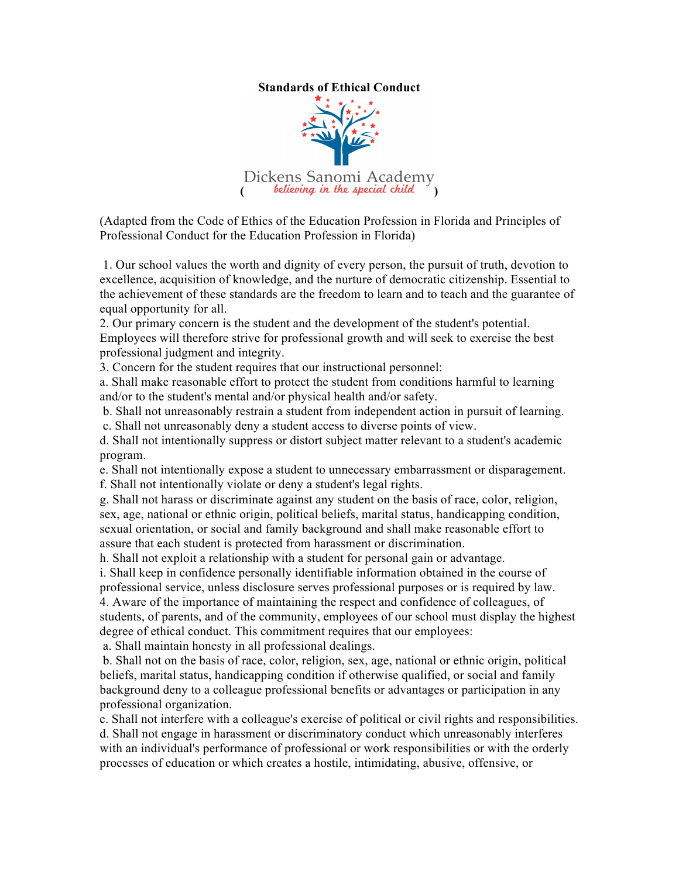## **Standards of Ethical Conduct**



(Adapted from the Code of Ethics of the Education Profession in Florida and Principles of Professional Conduct for the Education Profession in Florida)

1. Our school values the worth and dignity of every person, the pursuit of truth, devotion to excellence, acquisition of knowledge, and the nurture of democratic citizenship. Essential to the achievement of these standards are the freedom to learn and to teach and the guarantee of equal opportunity for all.

2. Our primary concern is the student and the development of the student's potential. Employees will therefore strive for professional growth and will seek to exercise the best professional judgment and integrity.

3. Concern for the student requires that our instructional personnel:

a. Shall make reasonable effort to protect the student from conditions harmful to learning and/or to the student's mental and/or physical health and/or safety.

b. Shall not unreasonably restrain a student from independent action in pursuit of learning. c. Shall not unreasonably deny a student access to diverse points of view.

d. Shall not intentionally suppress or distort subject matter relevant to a student's academic program.

e. Shall not intentionally expose a student to unnecessary embarrassment or disparagement. f. Shall not intentionally violate or deny a student's legal rights.

g. Shall not harass or discriminate against any student on the basis of race, color, religion, sex, age, national or ethnic origin, political beliefs, marital status, handicapping condition, sexual orientation, or social and family background and shall make reasonable effort to assure that each student is protected from harassment or discrimination.

h. Shall not exploit a relationship with a student for personal gain or advantage.

i. Shall keep in confidence personally identifiable information obtained in the course of professional service, unless disclosure serves professional purposes or is required by law. 4. Aware of the importance of maintaining the respect and confidence of colleagues, of students, of parents, and of the community, employees of our school must display the highest degree of ethical conduct. This commitment requires that our employees:

a. Shall maintain honesty in all professional dealings.

b. Shall not on the basis of race, color, religion, sex, age, national or ethnic origin, political beliefs, marital status, handicapping condition if otherwise qualified, or social and family background deny to a colleague professional benefits or advantages or participation in any professional organization.

c. Shall not interfere with a colleague's exercise of political or civil rights and responsibilities. d. Shall not engage in harassment or discriminatory conduct which unreasonably interferes with an individual's performance of professional or work responsibilities or with the orderly processes of education or which creates a hostile, intimidating, abusive, offensive, or